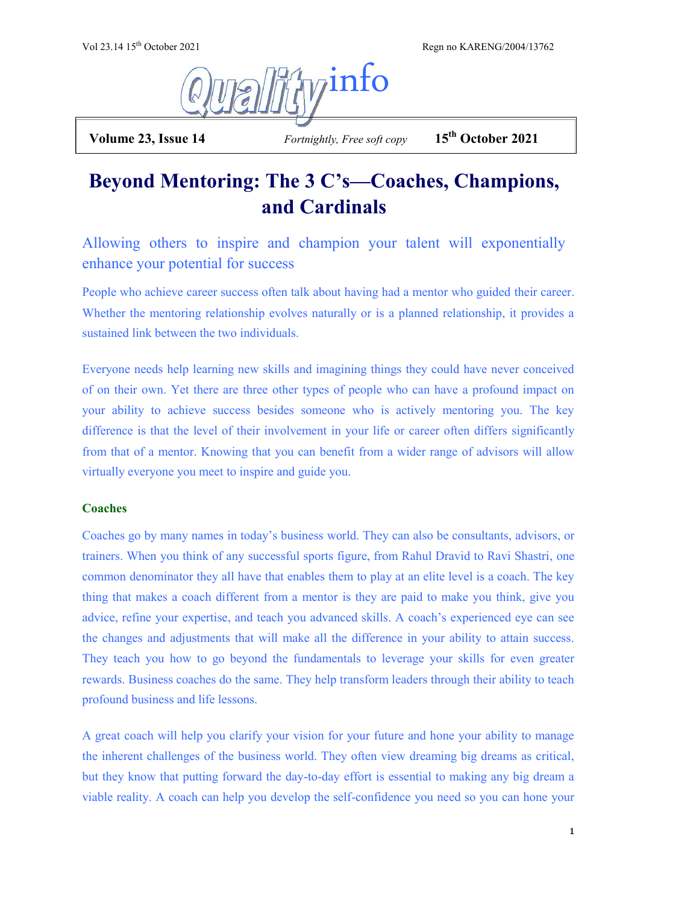Vol 23.14 15th October 2021 Regn no KARENG/2004/13762



 **Volume 23, Issue 14** *Fortnightly, Free soft copy* **15th October 2021**

# **Beyond Mentoring: The 3 C's—Coaches, Champions, and Cardinals**

Allowing others to inspire and champion your talent will exponentially enhance your potential for success

People who achieve career success often talk about having had a mentor who guided their career. Whether the mentoring relationship evolves naturally or is a planned relationship, it provides a sustained link between the two individuals.

Everyone needs help learning new skills and imagining things they could have never conceived of on their own. Yet there are three other types of people who can have a profound impact on your ability to achieve success besides someone who is actively mentoring you. The key difference is that the level of their involvement in your life or career often differs significantly from that of a mentor. Knowing that you can benefit from a wider range of advisors will allow virtually everyone you meet to inspire and guide you.

## **Coaches**

Coaches go by many names in today's business world. They can also be consultants, advisors, or trainers. When you think of any successful sports figure, from Rahul Dravid to Ravi Shastri, one common denominator they all have that enables them to play at an elite level is a coach. The key thing that makes a coach different from a mentor is they are paid to make you think, give you advice, refine your expertise, and teach you advanced skills. A coach's experienced eye can see the changes and adjustments that will make all the difference in your ability to attain success. They teach you how to go beyond the fundamentals to leverage your skills for even greater rewards. Business coaches do the same. They help transform leaders through their ability to teach profound business and life lessons.

A great coach will help you clarify your vision for your future and hone your ability to manage the inherent challenges of the business world. They often view dreaming big dreams as critical, but they know that putting forward the day-to-day effort is essential to making any big dream a viable reality. A coach can help you develop the self-confidence you need so you can hone your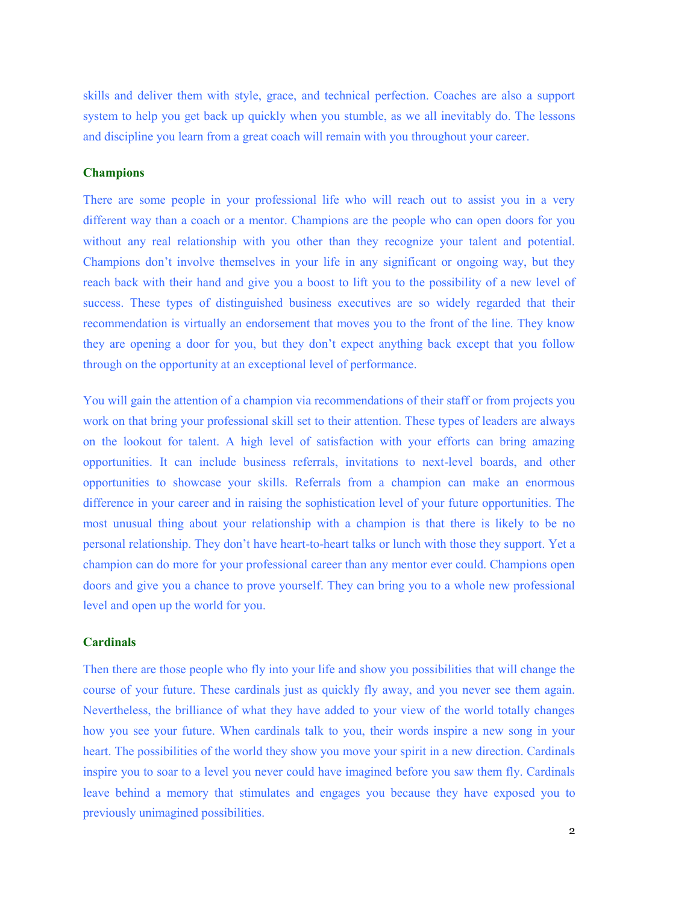skills and deliver them with style, grace, and technical perfection. Coaches are also a support system to help you get back up quickly when you stumble, as we all inevitably do. The lessons and discipline you learn from a great coach will remain with you throughout your career.

#### **Champions**

There are some people in your professional life who will reach out to assist you in a very different way than a coach or a mentor. Champions are the people who can open doors for you without any real relationship with you other than they recognize your talent and potential. Champions don't involve themselves in your life in any significant or ongoing way, but they reach back with their hand and give you a boost to lift you to the possibility of a new level of success. These types of distinguished business executives are so widely regarded that their recommendation is virtually an endorsement that moves you to the front of the line. They know they are opening a door for you, but they don't expect anything back except that you follow through on the opportunity at an exceptional level of performance.

You will gain the attention of a champion via recommendations of their staff or from projects you work on that bring your professional skill set to their attention. These types of leaders are always on the lookout for talent. A high level of satisfaction with your efforts can bring amazing opportunities. It can include business referrals, invitations to next-level boards, and other opportunities to showcase your skills. Referrals from a champion can make an enormous difference in your career and in raising the sophistication level of your future opportunities. The most unusual thing about your relationship with a champion is that there is likely to be no personal relationship. They don't have heart-to-heart talks or lunch with those they support. Yet a champion can do more for your professional career than any mentor ever could. Champions open doors and give you a chance to prove yourself. They can bring you to a whole new professional level and open up the world for you.

#### **Cardinals**

Then there are those people who fly into your life and show you possibilities that will change the course of your future. These cardinals just as quickly fly away, and you never see them again. Nevertheless, the brilliance of what they have added to your view of the world totally changes how you see your future. When cardinals talk to you, their words inspire a new song in your heart. The possibilities of the world they show you move your spirit in a new direction. Cardinals inspire you to soar to a level you never could have imagined before you saw them fly. Cardinals leave behind a memory that stimulates and engages you because they have exposed you to previously unimagined possibilities.